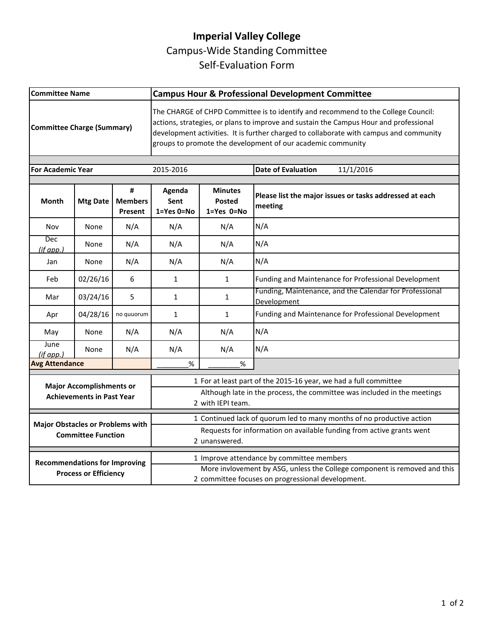## **Imperial Valley College**  Campus-Wide Standing Committee Self-Evaluation Form

| <b>Committee Name</b>                                                |                 |                                | <b>Campus Hour &amp; Professional Development Committee</b>                                                                                                                                                                                                                                                                         |                                               |                                                                        |  |
|----------------------------------------------------------------------|-----------------|--------------------------------|-------------------------------------------------------------------------------------------------------------------------------------------------------------------------------------------------------------------------------------------------------------------------------------------------------------------------------------|-----------------------------------------------|------------------------------------------------------------------------|--|
| <b>Committee Charge (Summary)</b>                                    |                 |                                | The CHARGE of CHPD Committee is to identify and recommend to the College Council:<br>actions, strategies, or plans to improve and sustain the Campus Hour and professional<br>development activities. It is further charged to collaborate with campus and community<br>groups to promote the development of our academic community |                                               |                                                                        |  |
| <b>For Academic Year</b>                                             |                 |                                | 2015-2016                                                                                                                                                                                                                                                                                                                           |                                               | 11/1/2016<br><b>Date of Evaluation</b>                                 |  |
| Month                                                                | <b>Mtg Date</b> | #<br><b>Members</b><br>Present | Agenda<br>Sent<br>$1 = Yes$ $0 = No$                                                                                                                                                                                                                                                                                                | <b>Minutes</b><br><b>Posted</b><br>1=Yes 0=No | Please list the major issues or tasks addressed at each<br>meeting     |  |
| Nov                                                                  | None            | N/A                            | N/A                                                                                                                                                                                                                                                                                                                                 | N/A                                           | N/A                                                                    |  |
| Dec<br>(if app.)                                                     | None            | N/A                            | N/A                                                                                                                                                                                                                                                                                                                                 | N/A                                           | N/A                                                                    |  |
| Jan                                                                  | None            | N/A                            | N/A                                                                                                                                                                                                                                                                                                                                 | N/A                                           | N/A                                                                    |  |
| Feb                                                                  | 02/26/16        | 6                              | $\mathbf{1}$                                                                                                                                                                                                                                                                                                                        | $\mathbf{1}$                                  | Funding and Maintenance for Professional Development                   |  |
| Mar                                                                  | 03/24/16        | 5                              | 1                                                                                                                                                                                                                                                                                                                                   | 1                                             | Funding, Maintenance, and the Calendar for Professional<br>Development |  |
| Apr                                                                  | 04/28/16        | no quuorum                     | 1                                                                                                                                                                                                                                                                                                                                   | 1                                             | Funding and Maintenance for Professional Development                   |  |
| May                                                                  | None            | N/A                            | N/A                                                                                                                                                                                                                                                                                                                                 | N/A                                           | N/A                                                                    |  |
| June<br>$(if$ app.)                                                  | None            | N/A                            | N/A                                                                                                                                                                                                                                                                                                                                 | N/A                                           | N/A                                                                    |  |
| <b>Avg Attendance</b>                                                |                 | %                              | %                                                                                                                                                                                                                                                                                                                                   |                                               |                                                                        |  |
| <b>Major Accomplishments or</b><br><b>Achievements in Past Year</b>  |                 |                                | 1 For at least part of the 2015-16 year, we had a full committee<br>Although late in the process, the committee was included in the meetings<br>2 with IEPI team.                                                                                                                                                                   |                                               |                                                                        |  |
| <b>Major Obstacles or Problems with</b><br><b>Committee Function</b> |                 |                                | 1 Continued lack of quorum led to many months of no productive action<br>Requests for information on available funding from active grants went<br>2 unanswered.                                                                                                                                                                     |                                               |                                                                        |  |
| <b>Recommendations for Improving</b><br><b>Process or Efficiency</b> |                 |                                | 1 Improve attendance by committee members<br>More invlovement by ASG, unless the College component is removed and this<br>2 committee focuses on progressional development.                                                                                                                                                         |                                               |                                                                        |  |